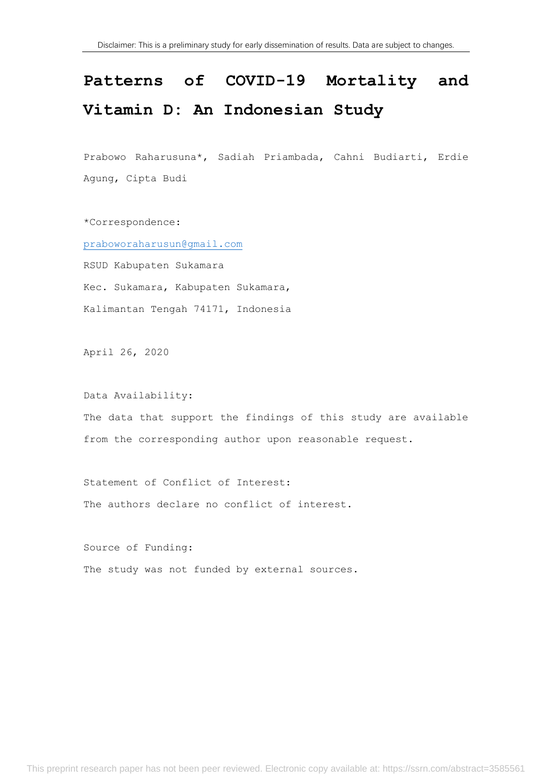# **Patterns of COVID-19 Mortality and Vitamin D: An Indonesian Study**

Prabowo Raharusuna\*, Sadiah Priambada, Cahni Budiarti, Erdie Agung, Cipta Budi

\*Correspondence: [praboworaharusun@gmail.com](mailto:praboworaharusun@gmail.com) RSUD Kabupaten Sukamara Kec. Sukamara, Kabupaten Sukamara, Kalimantan Tengah 74171, Indonesia

April 26, 2020

Data Availability: The data that support the findings of this study are available from the corresponding author upon reasonable request.

Statement of Conflict of Interest: The authors declare no conflict of interest.

Source of Funding: The study was not funded by external sources.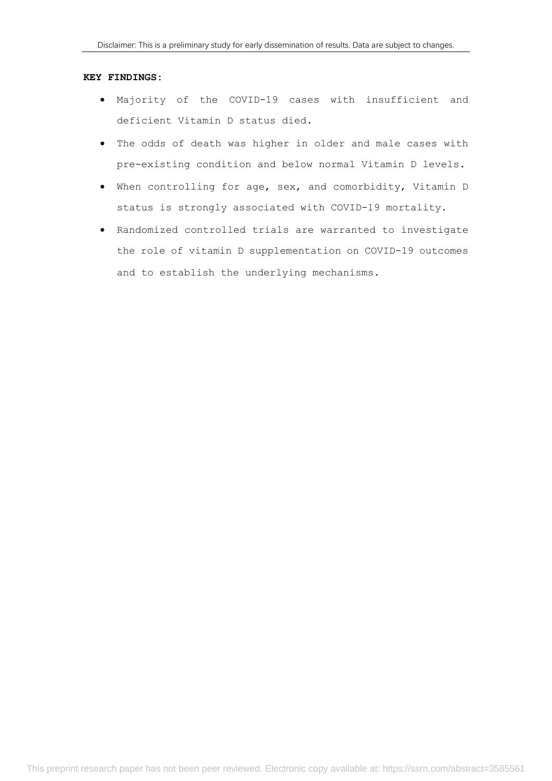## **KEY FINDINGS:**

- Majority of the COVID-19 cases with insufficient and deficient Vitamin D status died.
- The odds of death was higher in older and male cases with pre-existing condition and below normal Vitamin D levels.
- When controlling for age, sex, and comorbidity, Vitamin D status is strongly associated with COVID-19 mortality.
- Randomized controlled trials are warranted to investigate the role of vitamin D supplementation on COVID-19 outcomes and to establish the underlying mechanisms.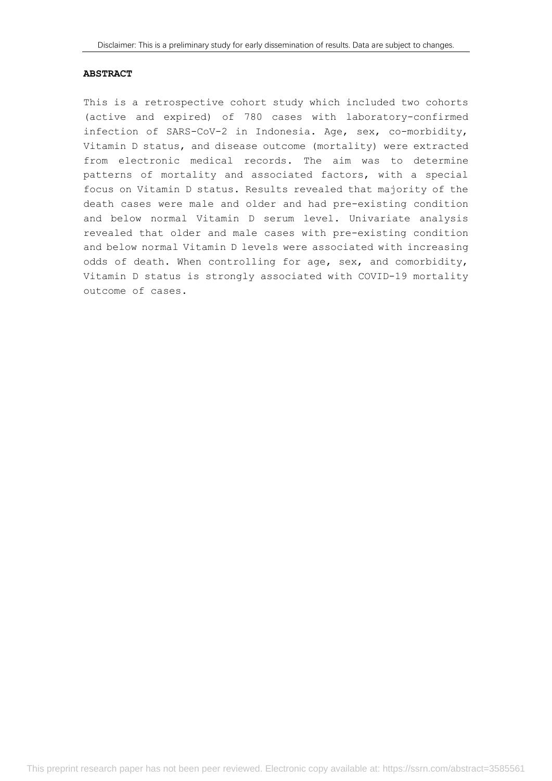#### **ABSTRACT**

This is a retrospective cohort study which included two cohorts (active and expired) of 780 cases with laboratory-confirmed infection of SARS-CoV-2 in Indonesia. Age, sex, co-morbidity, Vitamin D status, and disease outcome (mortality) were extracted from electronic medical records. The aim was to determine patterns of mortality and associated factors, with a special focus on Vitamin D status. Results revealed that majority of the death cases were male and older and had pre-existing condition and below normal Vitamin D serum level. Univariate analysis revealed that older and male cases with pre-existing condition and below normal Vitamin D levels were associated with increasing odds of death. When controlling for age, sex, and comorbidity, Vitamin D status is strongly associated with COVID-19 mortality outcome of cases.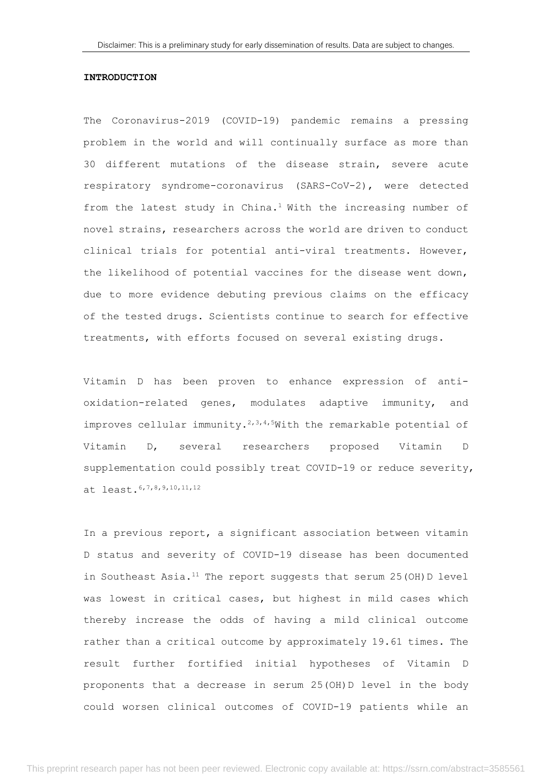#### **INTRODUCTION**

The Coronavirus-2019 (COVID-19) pandemic remains a pressing problem in the world and will continually surface as more than 30 different mutations of the disease strain, severe acute respiratory syndrome-coronavirus (SARS-CoV-2), were detected from the latest study in China.<sup>1</sup> With the increasing number of novel strains, researchers across the world are driven to conduct clinical trials for potential anti-viral treatments. However, the likelihood of potential vaccines for the disease went down, due to more evidence debuting previous claims on the efficacy of the tested drugs. Scientists continue to search for effective treatments, with efforts focused on several existing drugs.

Vitamin D has been proven to enhance expression of antioxidation-related genes, modulates adaptive immunity, and improves cellular immunity.<sup>2,3,4,5</sup>With the remarkable potential of Vitamin D, several researchers proposed Vitamin D supplementation could possibly treat COVID-19 or reduce severity, at least.6,7,8,9,10,11,12

In a previous report, a significant association between vitamin D status and severity of COVID-19 disease has been documented in Southeast Asia.<sup>11</sup> The report suggests that serum  $25$  (OH) D level was lowest in critical cases, but highest in mild cases which thereby increase the odds of having a mild clinical outcome rather than a critical outcome by approximately 19.61 times. The result further fortified initial hypotheses of Vitamin D proponents that a decrease in serum 25(OH)D level in the body could worsen clinical outcomes of COVID-19 patients while an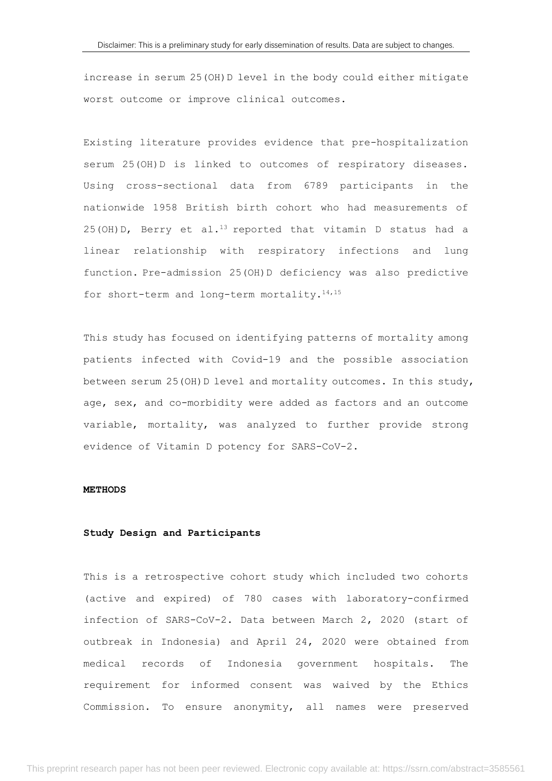increase in serum 25(OH)D level in the body could either mitigate worst outcome or improve clinical outcomes.

Existing literature provides evidence that pre-hospitalization serum 25(OH)D is linked to outcomes of respiratory diseases. Using cross-sectional data from 6789 participants in the nationwide 1958 British birth cohort who had measurements of  $25$ (OH)D, Berry et al.<sup>13</sup> reported that vitamin D status had a linear relationship with respiratory infections and lung function. Pre-admission 25(OH)D deficiency was also predictive for short-term and long-term mortality.<sup>14,15</sup>

This study has focused on identifying patterns of mortality among patients infected with Covid-19 and the possible association between serum 25(OH)D level and mortality outcomes. In this study, age, sex, and co-morbidity were added as factors and an outcome variable, mortality, was analyzed to further provide strong evidence of Vitamin D potency for SARS-CoV-2.

#### **METHODS**

## **Study Design and Participants**

This is a retrospective cohort study which included two cohorts (active and expired) of 780 cases with laboratory-confirmed infection of SARS-CoV-2. Data between March 2, 2020 (start of outbreak in Indonesia) and April 24, 2020 were obtained from medical records of Indonesia government hospitals. The requirement for informed consent was waived by the Ethics Commission. To ensure anonymity, all names were preserved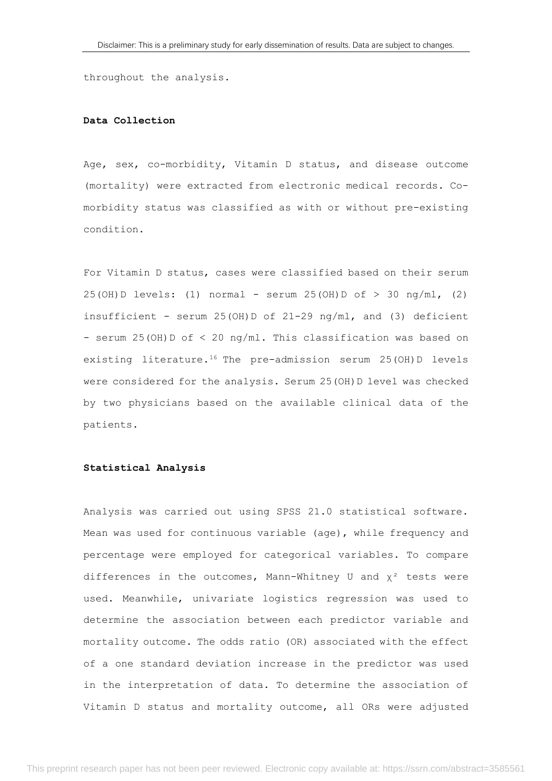throughout the analysis.

## **Data Collection**

Age, sex, co-morbidity, Vitamin D status, and disease outcome (mortality) were extracted from electronic medical records. Comorbidity status was classified as with or without pre-existing condition.

For Vitamin D status, cases were classified based on their serum  $25(OH) D$  levels: (1) normal - serum  $25(OH) D of > 30 ng/ml$ , (2) insufficient - serum 25(OH)D of 21-29 ng/ml, and (3) deficient - serum 25(OH)D of < 20 ng/ml. This classification was based on existing literature.<sup>16</sup> The pre-admission serum 25(OH)D levels were considered for the analysis. Serum 25(OH)D level was checked by two physicians based on the available clinical data of the patients.

#### **Statistical Analysis**

Analysis was carried out using SPSS 21.0 statistical software. Mean was used for continuous variable (age), while frequency and percentage were employed for categorical variables. To compare differences in the outcomes, Mann-Whitney U and  $\chi^2$  tests were used. Meanwhile, univariate logistics regression was used to determine the association between each predictor variable and mortality outcome. The odds ratio (OR) associated with the effect of a one standard deviation increase in the predictor was used in the interpretation of data. To determine the association of Vitamin D status and mortality outcome, all ORs were adjusted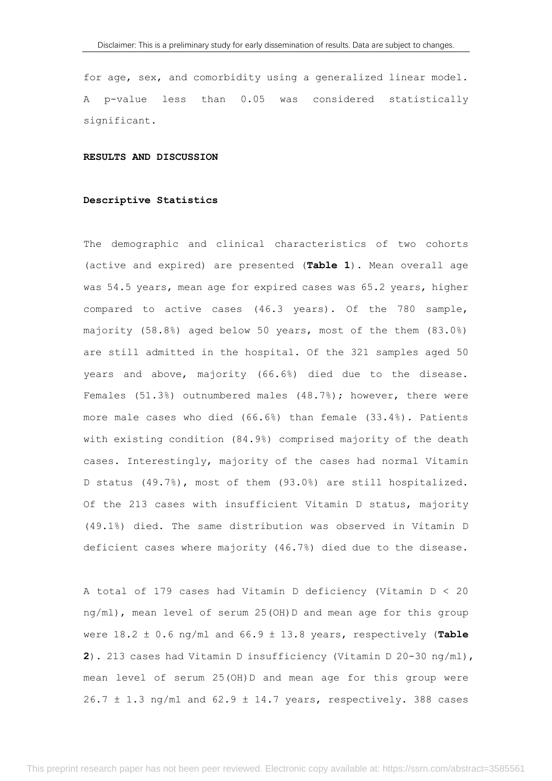for age, sex, and comorbidity using a generalized linear model. A p-value less than 0.05 was considered statistically significant.

## **RESULTS AND DISCUSSION**

#### **Descriptive Statistics**

The demographic and clinical characteristics of two cohorts (active and expired) are presented (**Table 1**). Mean overall age was 54.5 years, mean age for expired cases was 65.2 years, higher compared to active cases (46.3 years). Of the 780 sample, majority (58.8%) aged below 50 years, most of the them (83.0%) are still admitted in the hospital. Of the 321 samples aged 50 years and above, majority (66.6%) died due to the disease. Females (51.3%) outnumbered males (48.7%); however, there were more male cases who died (66.6%) than female (33.4%). Patients with existing condition (84.9%) comprised majority of the death cases. Interestingly, majority of the cases had normal Vitamin D status (49.7%), most of them (93.0%) are still hospitalized. Of the 213 cases with insufficient Vitamin D status, majority (49.1%) died. The same distribution was observed in Vitamin D deficient cases where majority (46.7%) died due to the disease.

A total of 179 cases had Vitamin D deficiency (Vitamin D < 20 ng/ml), mean level of serum 25(OH)D and mean age for this group were 18.2 ± 0.6 ng/ml and 66.9 ± 13.8 years, respectively (**Table 2**). 213 cases had Vitamin D insufficiency (Vitamin D 20-30 ng/ml), mean level of serum 25(OH)D and mean age for this group were  $26.7 \pm 1.3$  ng/ml and  $62.9 \pm 14.7$  years, respectively. 388 cases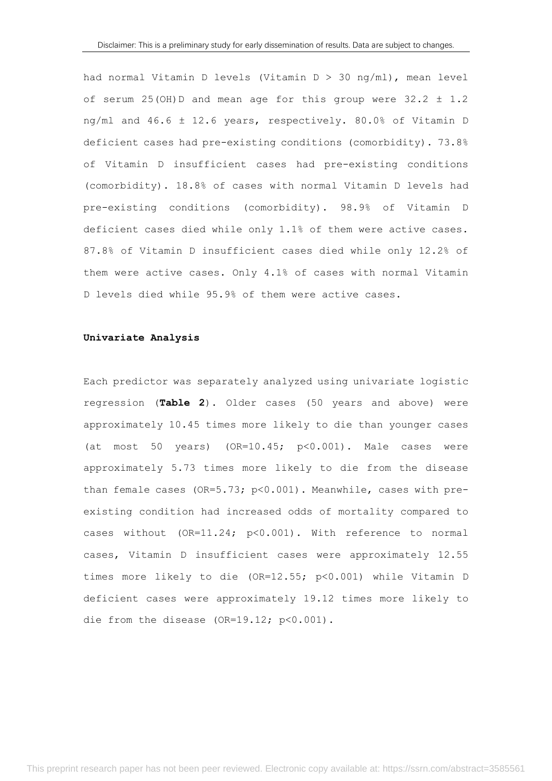had normal Vitamin D levels (Vitamin D > 30 ng/ml), mean level of serum 25(OH)D and mean age for this group were  $32.2 \pm 1.2$ ng/ml and 46.6 ± 12.6 years, respectively. 80.0% of Vitamin D deficient cases had pre-existing conditions (comorbidity). 73.8% of Vitamin D insufficient cases had pre-existing conditions (comorbidity). 18.8% of cases with normal Vitamin D levels had pre-existing conditions (comorbidity). 98.9% of Vitamin D deficient cases died while only 1.1% of them were active cases. 87.8% of Vitamin D insufficient cases died while only 12.2% of them were active cases. Only 4.1% of cases with normal Vitamin D levels died while 95.9% of them were active cases.

#### **Univariate Analysis**

Each predictor was separately analyzed using univariate logistic regression (**Table 2**). Older cases (50 years and above) were approximately 10.45 times more likely to die than younger cases (at most 50 years)  $(OR=10.45; p<0.001)$ . Male cases were approximately 5.73 times more likely to die from the disease than female cases (OR=5.73; p<0.001). Meanwhile, cases with preexisting condition had increased odds of mortality compared to cases without (OR=11.24; p<0.001). With reference to normal cases, Vitamin D insufficient cases were approximately 12.55 times more likely to die (OR=12.55; p<0.001) while Vitamin D deficient cases were approximately 19.12 times more likely to die from the disease (OR=19.12; p<0.001).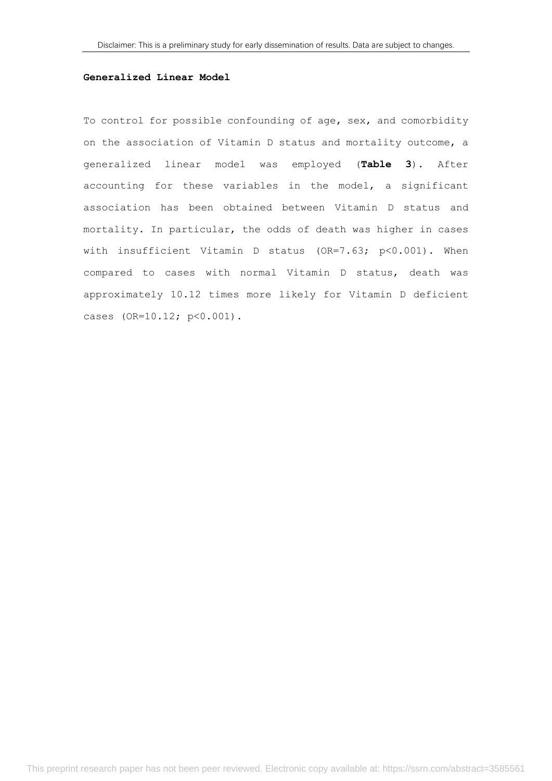## **Generalized Linear Model**

To control for possible confounding of age, sex, and comorbidity on the association of Vitamin D status and mortality outcome, a generalized linear model was employed (**Table 3**). After accounting for these variables in the model, a significant association has been obtained between Vitamin D status and mortality. In particular, the odds of death was higher in cases with insufficient Vitamin D status (OR=7.63; p<0.001). When compared to cases with normal Vitamin D status, death was approximately 10.12 times more likely for Vitamin D deficient cases (OR=10.12; p<0.001).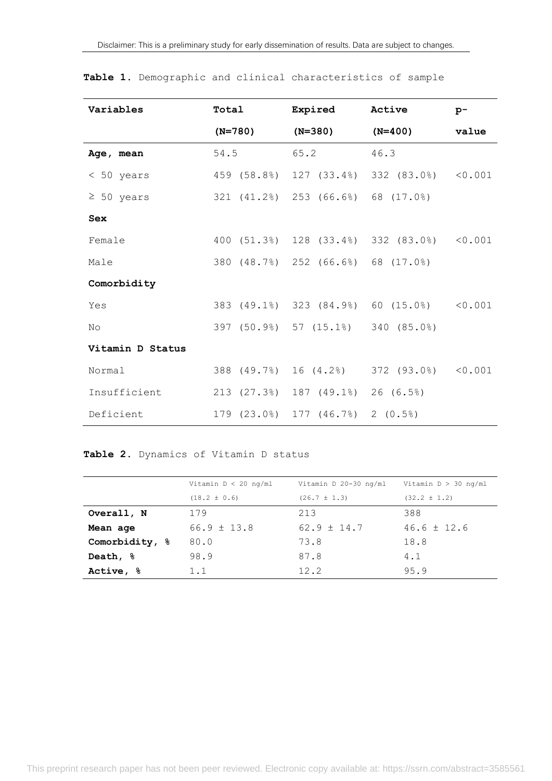| Variables        | Total     | Expired                                       | Active                                     | $p-$    |
|------------------|-----------|-----------------------------------------------|--------------------------------------------|---------|
|                  | $(N=780)$ | $(N=380)$                                     | $(N=400)$                                  | value   |
| Age, mean        | 54.5      | 65.2                                          | 46.3                                       |         |
| $< 50$ years     |           |                                               | 459 (58.8%) 127 (33.4%) 332 (83.0%) <0.001 |         |
| $\geq 50$ years  |           | 321 (41.2%) 253 (66.6%) 68 (17.0%)            |                                            |         |
| <b>Sex</b>       |           |                                               |                                            |         |
| Female           |           |                                               | 400 (51.3%) 128 (33.4%) 332 (83.0%) <0.001 |         |
| Male             |           | 380 (48.7%) 252 (66.6%) 68 (17.0%)            |                                            |         |
| Comorbidity      |           |                                               |                                            |         |
| Yes              |           |                                               | 383 (49.1%) 323 (84.9%) 60 (15.0%)         | < 0.001 |
| N <sub>O</sub>   |           | 397 (50.9%) 57 (15.1%) 340 (85.0%)            |                                            |         |
| Vitamin D Status |           |                                               |                                            |         |
| Normal           |           | 388 (49.7%) 16 (4.2%)                         | 372 (93.0%)                                | < 0.001 |
| Insufficient     |           | 213 (27.3%) 187 (49.1%)                       | 26(6.5%)                                   |         |
| Deficient        |           | $179$ $(23.0\%)$ $177$ $(46.7\%)$ 2 $(0.5\%)$ |                                            |         |

|  |  |  |  |  | Table 1. Demographic and clinical characteristics of sample |  |  |
|--|--|--|--|--|-------------------------------------------------------------|--|--|
|--|--|--|--|--|-------------------------------------------------------------|--|--|

## **Table 2.** Dynamics of Vitamin D status

|                      | Vitamin $D < 20$ ng/ml | Vitamin D 20-30 ng/ml | Vitamin $D > 30$ ng/ml |
|----------------------|------------------------|-----------------------|------------------------|
|                      | $(18.2 \pm 0.6)$       | $(26.7 \pm 1.3)$      | $(32.2 \pm 1.2)$       |
| Overall, N           | 179                    | 213                   | 388                    |
| Mean age             | $66.9 \pm 13.8$        | $62.9 \pm 14.7$       | $46.6 \pm 12.6$        |
| Comorbidity, %       | 80.0                   | 73.8                  | 18.8                   |
| Death, $\frac{6}{3}$ | 98.9                   | 87.8                  | 4.1                    |
| Active, &            | 1.1                    | 12.2                  | 95.9                   |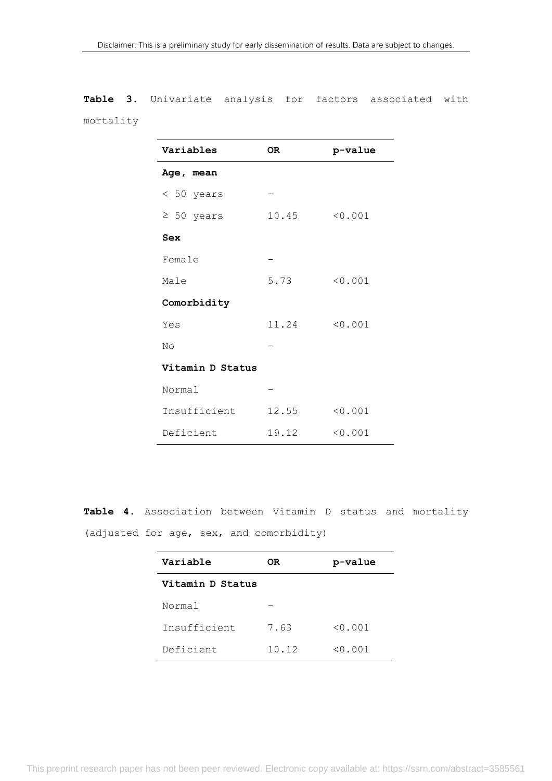**Table 3.** Univariate analysis for factors associated with mortality

| Variables        | OR.   | p-value |  |  |
|------------------|-------|---------|--|--|
| Age, mean        |       |         |  |  |
| $< 50$ years     |       |         |  |  |
| $\geq 50$ years  | 10.45 | < 0.001 |  |  |
| Sex              |       |         |  |  |
| Female           |       |         |  |  |
| Male             | 5.73  | < 0.001 |  |  |
| Comorbidity      |       |         |  |  |
| Yes              | 11.24 | < 0.001 |  |  |
| No               |       |         |  |  |
| Vitamin D Status |       |         |  |  |
| Normal           |       |         |  |  |
| Insufficient     | 12.55 | < 0.001 |  |  |
| Deficient        | 19.12 | < 0.001 |  |  |

**Table 4.** Association between Vitamin D status and mortality (adjusted for age, sex, and comorbidity)

| Variable         | OR    | p-value |  |  |
|------------------|-------|---------|--|--|
| Vitamin D Status |       |         |  |  |
| Normal           |       |         |  |  |
| Insufficient     | 7.63  | < 0.001 |  |  |
| Deficient        | 10.12 | < 0.001 |  |  |

This preprint research paper has not been peer reviewed. Electronic copy available at: https://ssrn.com/abstract=3585561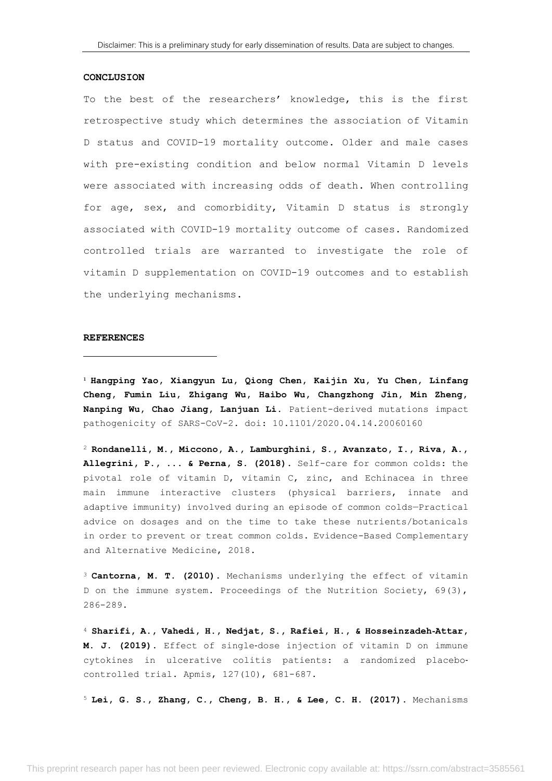#### **CONCLUSION**

To the best of the researchers' knowledge, this is the first retrospective study which determines the association of Vitamin D status and COVID-19 mortality outcome. Older and male cases with pre-existing condition and below normal Vitamin D levels were associated with increasing odds of death. When controlling for age, sex, and comorbidity, Vitamin D status is strongly associated with COVID-19 mortality outcome of cases. Randomized controlled trials are warranted to investigate the role of vitamin D supplementation on COVID-19 outcomes and to establish the underlying mechanisms.

#### **REFERENCES**

<sup>1</sup> **Hangping Yao, Xiangyun Lu, Qiong Chen, Kaijin Xu, Yu Chen, Linfang Cheng, Fumin Liu, Zhigang Wu, Haibo Wu, Changzhong Jin, Min Zheng, Nanping Wu, Chao Jiang, Lanjuan Li.** Patient-derived mutations impact pathogenicity of SARS-CoV-2. doi: 10.1101/2020.04.14.20060160

<sup>2</sup> **Rondanelli, M., Miccono, A., Lamburghini, S., Avanzato, I., Riva, A., Allegrini, P., ... & Perna, S. (2018)**. Self-care for common colds: the pivotal role of vitamin D, vitamin C, zinc, and Echinacea in three main immune interactive clusters (physical barriers, innate and adaptive immunity) involved during an episode of common colds—Practical advice on dosages and on the time to take these nutrients/botanicals in order to prevent or treat common colds. Evidence-Based Complementary and Alternative Medicine, 2018.

<sup>3</sup> **Cantorna, M. T. (2010)**. Mechanisms underlying the effect of vitamin D on the immune system. Proceedings of the Nutrition Society, 69(3), 286-289.

<sup>4</sup> **Sharifi, A., Vahedi, H., Nedjat, S., Rafiei, H., & Hosseinzadeh**‐**Attar, M. J. (2019)**. Effect of single‐dose injection of vitamin D on immune cytokines in ulcerative colitis patients: a randomized placebo‐ controlled trial. Apmis, 127(10), 681-687.

<sup>5</sup> **Lei, G. S., Zhang, C., Cheng, B. H., & Lee, C. H. (2017)**. Mechanisms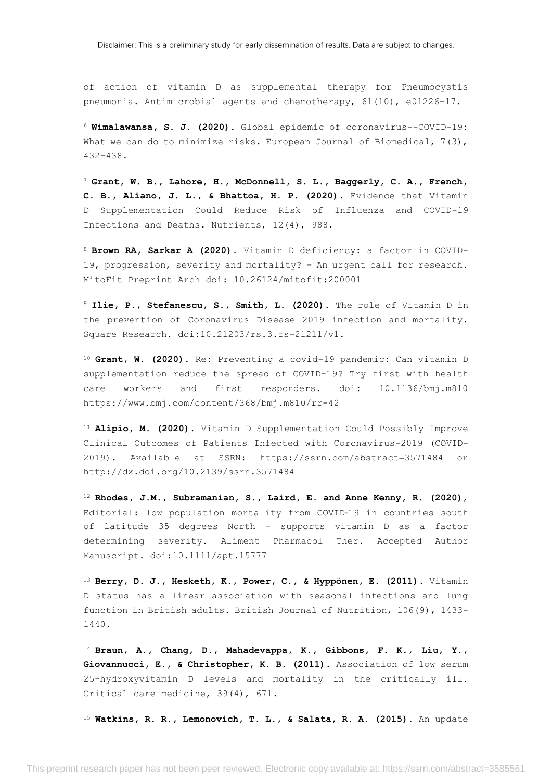of action of vitamin D as supplemental therapy for Pneumocystis pneumonia. Antimicrobial agents and chemotherapy, 61(10), e01226-17.

<sup>6</sup> **Wimalawansa, S. J. (2020)**. Global epidemic of coronavirus--COVID-19: What we can do to minimize risks. European Journal of Biomedical,  $7(3)$ , 432-438.

<sup>7</sup> **Grant, W. B., Lahore, H., McDonnell, S. L., Baggerly, C. A., French, C. B., Aliano, J. L., & Bhattoa, H. P. (2020)**. Evidence that Vitamin D Supplementation Could Reduce Risk of Influenza and COVID-19 Infections and Deaths. Nutrients, 12(4), 988.

<sup>8</sup> **Brown RA, Sarkar A (2020).** Vitamin D deficiency: a factor in COVID-19, progression, severity and mortality? – An urgent call for research. MitoFit Preprint Arch doi: 10.26124/mitofit:200001

<sup>9</sup> **Ilie, P., Stefanescu, S., Smith, L. (2020).** The role of Vitamin D in the prevention of Coronavirus Disease 2019 infection and mortality. Square Research. doi:10.21203/rs.3.rs-21211/v1.

<sup>10</sup> **Grant, W. (2020).** Re: Preventing a covid-19 pandemic: Can vitamin D supplementation reduce the spread of COVID-19? Try first with health care workers and first responders. doi: 10.1136/bmj.m810 https://www.bmj.com/content/368/bmj.m810/rr-42

<sup>11</sup> **Alipio, M. (2020)**. Vitamin D Supplementation Could Possibly Improve Clinical Outcomes of Patients Infected with Coronavirus-2019 (COVID-2019). Available at SSRN: https://ssrn.com/abstract=3571484 or http://dx.doi.org/10.2139/ssrn.3571484

<sup>12</sup> **Rhodes, J.M., Subramanian, S., Laird, E. and Anne Kenny, R. (2020)**, Editorial: low population mortality from COVID-19 in countries south of latitude 35 degrees North – supports vitamin D as a factor determining severity. Aliment Pharmacol Ther. Accepted Author Manuscript. doi:10.1111/apt.15777

<sup>13</sup> **Berry, D. J., Hesketh, K., Power, C., & Hyppönen, E. (2011)**. Vitamin D status has a linear association with seasonal infections and lung function in British adults. British Journal of Nutrition, 106(9), 1433- 1440.

<sup>14</sup> **Braun, A., Chang, D., Mahadevappa, K., Gibbons, F. K., Liu, Y., Giovannucci, E., & Christopher, K. B. (2011)**. Association of low serum 25-hydroxyvitamin D levels and mortality in the critically ill. Critical care medicine, 39(4), 671.

<sup>15</sup> **Watkins, R. R., Lemonovich, T. L., & Salata, R. A. (2015)**. An update